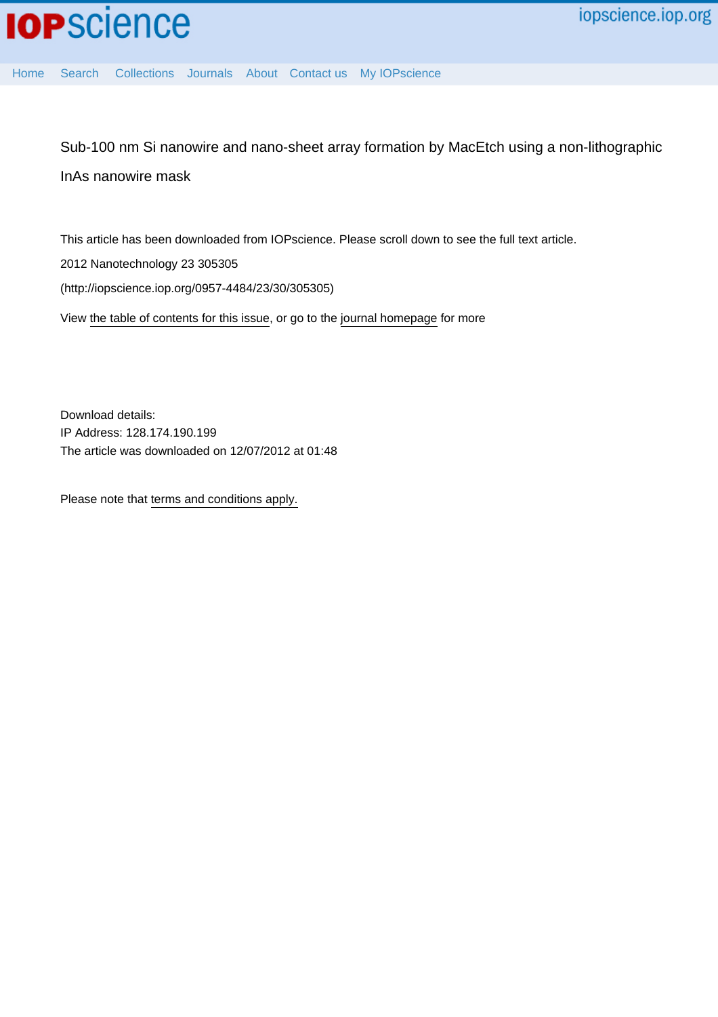

[Home](http://iopscience.iop.org/) [Search](http://iopscience.iop.org/search) [Collections](http://iopscience.iop.org/collections) [Journals](http://iopscience.iop.org/journals) [About](http://iopscience.iop.org/page/aboutioppublishing) [Contact us](http://iopscience.iop.org/contact) [My IOPscience](http://iopscience.iop.org/myiopscience)

Sub-100 nm Si nanowire and nano-sheet array formation by MacEtch using a non-lithographic InAs nanowire mask

This article has been downloaded from IOPscience. Please scroll down to see the full text article.

2012 Nanotechnology 23 305305

(http://iopscience.iop.org/0957-4484/23/30/305305)

View [the table of contents for this issue](http://iopscience.iop.org/0957-4484/23/30), or go to the [journal homepage](http://iopscience.iop.org/0957-4484) for more

Download details: IP Address: 128.174.190.199 The article was downloaded on 12/07/2012 at 01:48

Please note that [terms and conditions apply.](http://iopscience.iop.org/page/terms)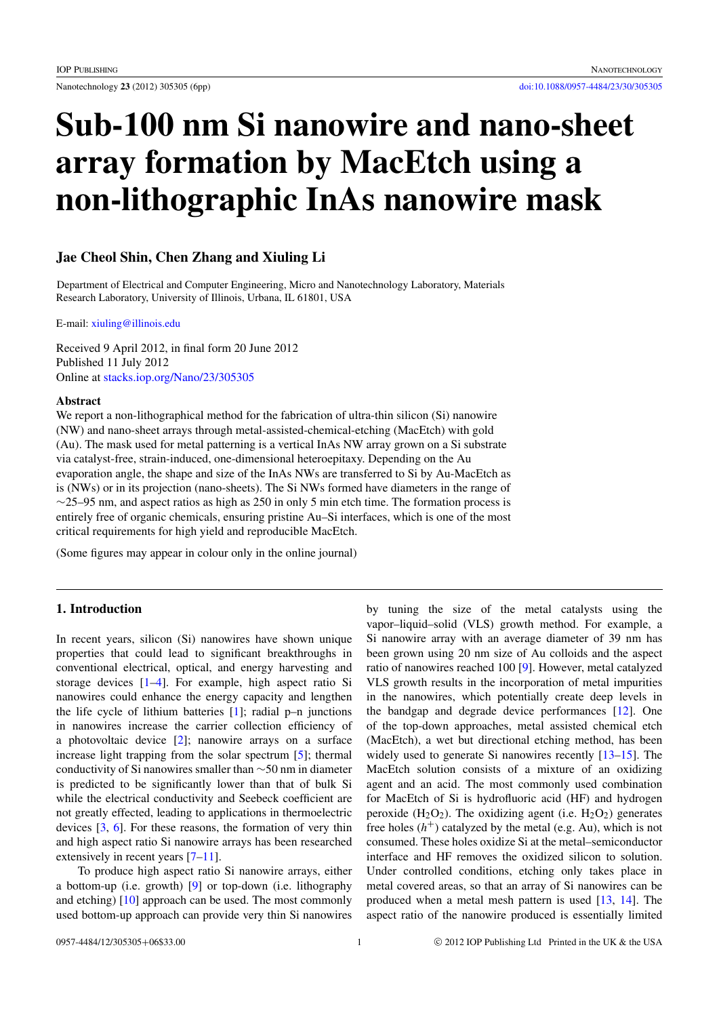# Sub-100 nm Si nanowire and nano-sheet array formation by MacEtch using a non-lithographic InAs nanowire mask

## Jae Cheol Shin, Chen Zhang and Xiuling Li

Department of Electrical and Computer Engineering, Micro and Nanotechnology Laboratory, Materials Research Laboratory, University of Illinois, Urbana, IL 61801, USA

E-mail: [xiuling@illinois.edu](mailto:xiuling@illinois.edu)

Received 9 April 2012, in final form 20 June 2012 Published 11 July 2012 Online at [stacks.iop.org/Nano/23/305305](http://stacks.iop.org/Nano/23/305305)

#### Abstract

We report a non-lithographical method for the fabrication of ultra-thin silicon (Si) nanowire (NW) and nano-sheet arrays through metal-assisted-chemical-etching (MacEtch) with gold (Au). The mask used for metal patterning is a vertical InAs NW array grown on a Si substrate via catalyst-free, strain-induced, one-dimensional heteroepitaxy. Depending on the Au evaporation angle, the shape and size of the InAs NWs are transferred to Si by Au-MacEtch as is (NWs) or in its projection (nano-sheets). The Si NWs formed have diameters in the range of  $\sim$ 25–95 nm, and aspect ratios as high as 250 in only 5 min etch time. The formation process is entirely free of organic chemicals, ensuring pristine Au–Si interfaces, which is one of the most critical requirements for high yield and reproducible MacEtch.

(Some figures may appear in colour only in the online journal)

### 1. Introduction

In recent years, silicon (Si) nanowires have shown unique properties that could lead to significant breakthroughs in conventional electrical, optical, and energy harvesting and storage devices [\[1](#page-5-0)[–4\]](#page-5-1). For example, high aspect ratio Si nanowires could enhance the energy capacity and lengthen the life cycle of lithium batteries [\[1\]](#page-5-0); radial p–n junctions in nanowires increase the carrier collection efficiency of a photovoltaic device [\[2\]](#page-5-2); nanowire arrays on a surface increase light trapping from the solar spectrum [\[5\]](#page-5-3); thermal conductivity of Si nanowires smaller than ∼50 nm in diameter is predicted to be significantly lower than that of bulk Si while the electrical conductivity and Seebeck coefficient are not greatly effected, leading to applications in thermoelectric devices [\[3,](#page-5-4) [6\]](#page-5-5). For these reasons, the formation of very thin and high aspect ratio Si nanowire arrays has been researched extensively in recent years [\[7–](#page-5-6)[11\]](#page-5-7).

To produce high aspect ratio Si nanowire arrays, either a bottom-up (i.e. growth) [\[9\]](#page-5-8) or top-down (i.e. lithography and etching)  $[10]$  approach can be used. The most commonly used bottom-up approach can provide very thin Si nanowires

by tuning the size of the metal catalysts using the vapor–liquid–solid (VLS) growth method. For example, a Si nanowire array with an average diameter of 39 nm has been grown using 20 nm size of Au colloids and the aspect ratio of nanowires reached 100 [\[9\]](#page-5-8). However, metal catalyzed VLS growth results in the incorporation of metal impurities in the nanowires, which potentially create deep levels in the bandgap and degrade device performances [\[12\]](#page-5-10). One of the top-down approaches, metal assisted chemical etch (MacEtch), a wet but directional etching method, has been widely used to generate Si nanowires recently [\[13–](#page-5-11)[15\]](#page-5-12). The MacEtch solution consists of a mixture of an oxidizing agent and an acid. The most commonly used combination for MacEtch of Si is hydrofluoric acid (HF) and hydrogen peroxide  $(H_2O_2)$ . The oxidizing agent (i.e.  $H_2O_2$ ) generates free holes  $(h<sup>+</sup>)$  catalyzed by the metal (e.g. Au), which is not consumed. These holes oxidize Si at the metal–semiconductor interface and HF removes the oxidized silicon to solution. Under controlled conditions, etching only takes place in metal covered areas, so that an array of Si nanowires can be produced when a metal mesh pattern is used [\[13,](#page-5-11) [14\]](#page-5-13). The aspect ratio of the nanowire produced is essentially limited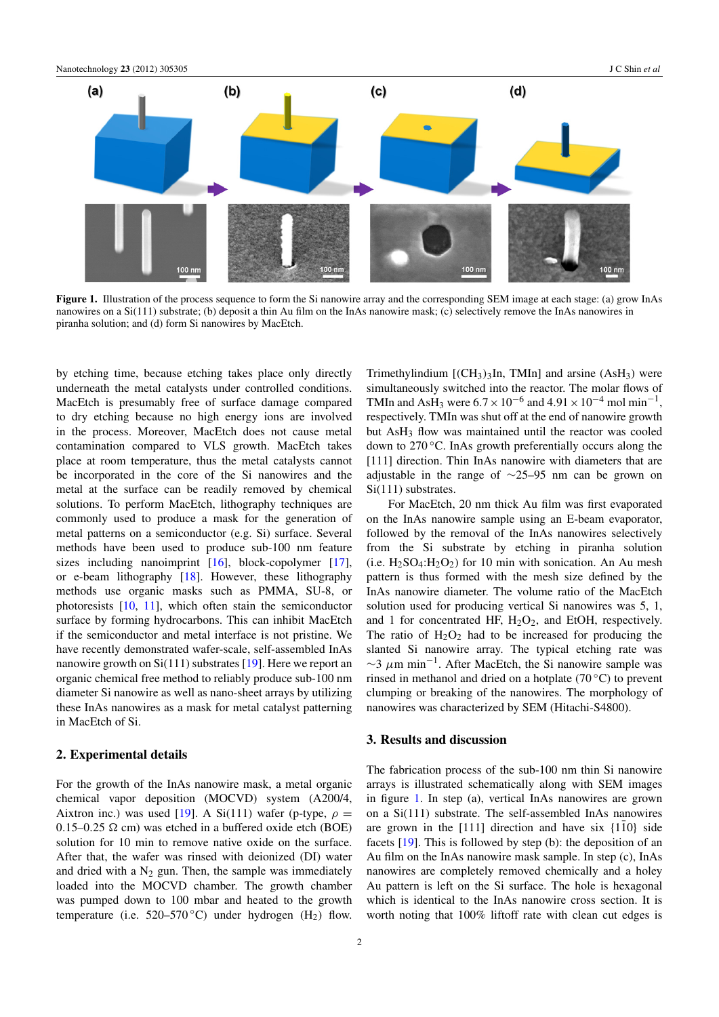<span id="page-2-0"></span>

Figure 1. Illustration of the process sequence to form the Si nanowire array and the corresponding SEM image at each stage: (a) grow InAs nanowires on a Si(111) substrate; (b) deposit a thin Au film on the InAs nanowire mask; (c) selectively remove the InAs nanowires in piranha solution; and (d) form Si nanowires by MacEtch.

by etching time, because etching takes place only directly underneath the metal catalysts under controlled conditions. MacEtch is presumably free of surface damage compared to dry etching because no high energy ions are involved in the process. Moreover, MacEtch does not cause metal contamination compared to VLS growth. MacEtch takes place at room temperature, thus the metal catalysts cannot be incorporated in the core of the Si nanowires and the metal at the surface can be readily removed by chemical solutions. To perform MacEtch, lithography techniques are commonly used to produce a mask for the generation of metal patterns on a semiconductor (e.g. Si) surface. Several methods have been used to produce sub-100 nm feature sizes including nanoimprint [\[16\]](#page-5-14), block-copolymer [\[17\]](#page-5-15), or e-beam lithography [\[18\]](#page-6-0). However, these lithography methods use organic masks such as PMMA, SU-8, or photoresists [\[10,](#page-5-9) [11\]](#page-5-7), which often stain the semiconductor surface by forming hydrocarbons. This can inhibit MacEtch if the semiconductor and metal interface is not pristine. We have recently demonstrated wafer-scale, self-assembled InAs nanowire growth on  $Si(111)$  substrates [\[19\]](#page-6-1). Here we report an organic chemical free method to reliably produce sub-100 nm diameter Si nanowire as well as nano-sheet arrays by utilizing these InAs nanowires as a mask for metal catalyst patterning in MacEtch of Si.

#### 2. Experimental details

For the growth of the InAs nanowire mask, a metal organic chemical vapor deposition (MOCVD) system (A200/4, Aixtron inc.) was used [\[19\]](#page-6-1). A Si(111) wafer (p-type,  $\rho =$  $0.15-0.25$   $\Omega$  cm) was etched in a buffered oxide etch (BOE) solution for 10 min to remove native oxide on the surface. After that, the wafer was rinsed with deionized (DI) water and dried with a  $N_2$  gun. Then, the sample was immediately loaded into the MOCVD chamber. The growth chamber was pumped down to 100 mbar and heated to the growth temperature (i.e.  $520-570$ °C) under hydrogen (H<sub>2</sub>) flow.

simultaneously switched into the reactor. The molar flows of TMIn and AsH<sub>3</sub> were  $6.7 \times 10^{-6}$  and  $4.91 \times 10^{-4}$  mol min<sup>-1</sup>, respectively. TMIn was shut off at the end of nanowire growth but AsH<sub>3</sub> flow was maintained until the reactor was cooled down to 270 ℃. InAs growth preferentially occurs along the [111] direction. Thin InAs nanowire with diameters that are adjustable in the range of ∼25–95 nm can be grown on Si(111) substrates. For MacEtch, 20 nm thick Au film was first evaporated

Trimethylindium  $[(CH<sub>3</sub>)<sub>3</sub>In, TMIn]$  and arsine  $(A<sub>5</sub>H<sub>3</sub>)$  were

on the InAs nanowire sample using an E-beam evaporator, followed by the removal of the InAs nanowires selectively from the Si substrate by etching in piranha solution (i.e.  $H_2SO_4:H_2O_2$ ) for 10 min with sonication. An Au mesh pattern is thus formed with the mesh size defined by the InAs nanowire diameter. The volume ratio of the MacEtch solution used for producing vertical Si nanowires was 5, 1, and 1 for concentrated HF,  $H_2O_2$ , and EtOH, respectively. The ratio of  $H_2O_2$  had to be increased for producing the slanted Si nanowire array. The typical etching rate was  $\sim$ 3  $\mu$ m min<sup>-1</sup>. After MacEtch, the Si nanowire sample was rinsed in methanol and dried on a hotplate  $(70\degree C)$  to prevent clumping or breaking of the nanowires. The morphology of nanowires was characterized by SEM (Hitachi-S4800).

## 3. Results and discussion

The fabrication process of the sub-100 nm thin Si nanowire arrays is illustrated schematically along with SEM images in figure [1.](#page-2-0) In step (a), vertical InAs nanowires are grown on a Si(111) substrate. The self-assembled InAs nanowires are grown in the [111] direction and have six  $\{1\overline{1}0\}$  side facets [\[19\]](#page-6-1). This is followed by step (b): the deposition of an Au film on the InAs nanowire mask sample. In step (c), InAs nanowires are completely removed chemically and a holey Au pattern is left on the Si surface. The hole is hexagonal which is identical to the InAs nanowire cross section. It is worth noting that 100% liftoff rate with clean cut edges is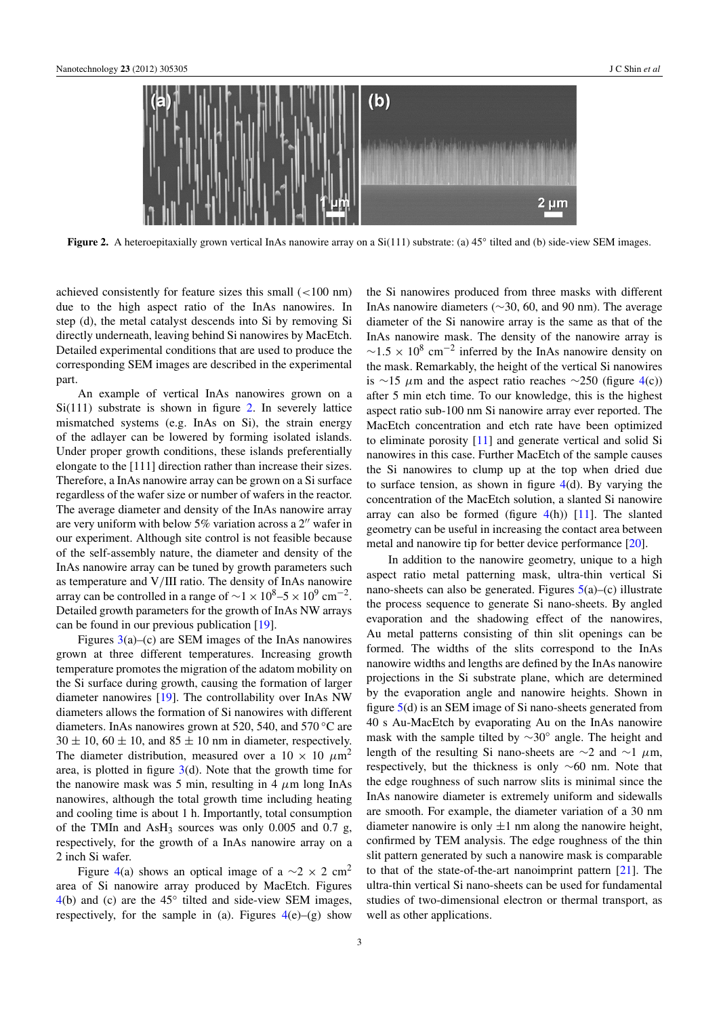<span id="page-3-0"></span>

Figure 2. A heteroepitaxially grown vertical InAs nanowire array on a Si(111) substrate: (a) 45° tilted and (b) side-view SEM images.

achieved consistently for feature sizes this small (<100 nm) due to the high aspect ratio of the InAs nanowires. In step (d), the metal catalyst descends into Si by removing Si directly underneath, leaving behind Si nanowires by MacEtch. Detailed experimental conditions that are used to produce the corresponding SEM images are described in the experimental part.

An example of vertical InAs nanowires grown on a  $Si(111)$  substrate is shown in figure [2.](#page-3-0) In severely lattice mismatched systems (e.g. InAs on Si), the strain energy of the adlayer can be lowered by forming isolated islands. Under proper growth conditions, these islands preferentially elongate to the [111] direction rather than increase their sizes. Therefore, a InAs nanowire array can be grown on a Si surface regardless of the wafer size or number of wafers in the reactor. The average diameter and density of the InAs nanowire array are very uniform with below  $5\%$  variation across a  $2^{\prime\prime}$  wafer in our experiment. Although site control is not feasible because of the self-assembly nature, the diameter and density of the InAs nanowire array can be tuned by growth parameters such as temperature and V/III ratio. The density of InAs nanowire array can be controlled in a range of  $\sim$ 1 × 10<sup>8</sup> –5 × 10<sup>9</sup> cm<sup>-2</sup>. Detailed growth parameters for the growth of InAs NW arrays can be found in our previous publication [\[19\]](#page-6-1).

Figures  $3(a)$  $3(a)$ –(c) are SEM images of the InAs nanowires grown at three different temperatures. Increasing growth temperature promotes the migration of the adatom mobility on the Si surface during growth, causing the formation of larger diameter nanowires [\[19\]](#page-6-1). The controllability over InAs NW diameters allows the formation of Si nanowires with different diameters. InAs nanowires grown at 520, 540, and 570 ◦C are  $30 \pm 10$ ,  $60 \pm 10$ , and  $85 \pm 10$  nm in diameter, respectively. The diameter distribution, measured over a  $10 \times 10 \ \mu m^2$ area, is plotted in figure  $3(d)$  $3(d)$ . Note that the growth time for the nanowire mask was 5 min, resulting in 4  $\mu$ m long InAs nanowires, although the total growth time including heating and cooling time is about 1 h. Importantly, total consumption of the TMIn and AsH<sub>3</sub> sources was only  $0.005$  and  $0.7$  g, respectively, for the growth of a InAs nanowire array on a 2 inch Si wafer.

Figure [4\(](#page-4-1)a) shows an optical image of a  $\sim$ 2 × 2 cm<sup>2</sup> area of Si nanowire array produced by MacEtch. Figures  $4(b)$  $4(b)$  and (c) are the  $45°$  tilted and side-view SEM images, respectively, for the sample in (a). Figures  $4(e)$  $4(e)$ –(g) show

the Si nanowires produced from three masks with different InAs nanowire diameters (∼30, 60, and 90 nm). The average diameter of the Si nanowire array is the same as that of the InAs nanowire mask. The density of the nanowire array is  $\sim$ 1.5 × 10<sup>8</sup> cm<sup>-2</sup> inferred by the InAs nanowire density on the mask. Remarkably, the height of the vertical Si nanowires is ∼15  $\mu$ m and the aspect ratio reaches ∼250 (figure [4\(](#page-4-1)c)) after 5 min etch time. To our knowledge, this is the highest aspect ratio sub-100 nm Si nanowire array ever reported. The MacEtch concentration and etch rate have been optimized to eliminate porosity [\[11\]](#page-5-7) and generate vertical and solid Si nanowires in this case. Further MacEtch of the sample causes the Si nanowires to clump up at the top when dried due to surface tension, as shown in figure [4\(](#page-4-1)d). By varying the concentration of the MacEtch solution, a slanted Si nanowire array can also be formed (figure  $4(h)$  $4(h)$ ) [\[11\]](#page-5-7). The slanted geometry can be useful in increasing the contact area between metal and nanowire tip for better device performance [\[20\]](#page-6-2).

In addition to the nanowire geometry, unique to a high aspect ratio metal patterning mask, ultra-thin vertical Si nano-sheets can also be generated. Figures  $5(a)$  $5(a)$ –(c) illustrate the process sequence to generate Si nano-sheets. By angled evaporation and the shadowing effect of the nanowires, Au metal patterns consisting of thin slit openings can be formed. The widths of the slits correspond to the InAs nanowire widths and lengths are defined by the InAs nanowire projections in the Si substrate plane, which are determined by the evaporation angle and nanowire heights. Shown in figure [5\(](#page-5-16)d) is an SEM image of Si nano-sheets generated from 40 s Au-MacEtch by evaporating Au on the InAs nanowire mask with the sample tilted by ∼30◦ angle. The height and length of the resulting Si nano-sheets are  $\sim$ 2 and  $\sim$ 1 µm, respectively, but the thickness is only ∼60 nm. Note that the edge roughness of such narrow slits is minimal since the InAs nanowire diameter is extremely uniform and sidewalls are smooth. For example, the diameter variation of a 30 nm diameter nanowire is only  $\pm 1$  nm along the nanowire height, confirmed by TEM analysis. The edge roughness of the thin slit pattern generated by such a nanowire mask is comparable to that of the state-of-the-art nanoimprint pattern [\[21\]](#page-6-3). The ultra-thin vertical Si nano-sheets can be used for fundamental studies of two-dimensional electron or thermal transport, as well as other applications.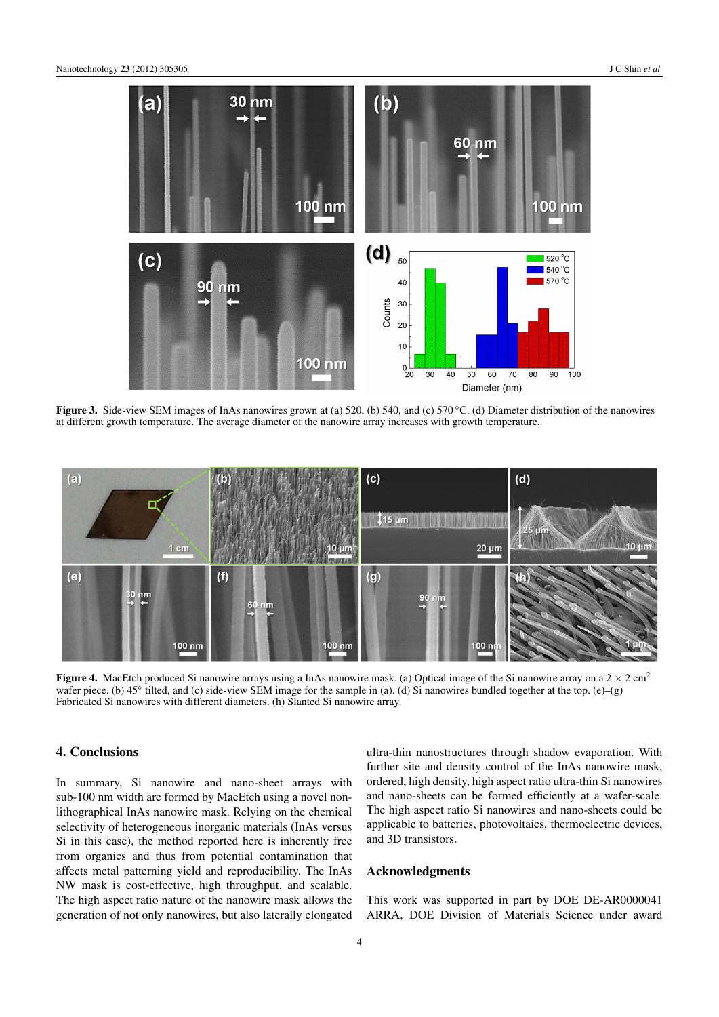<span id="page-4-0"></span>

Figure 3. Side-view SEM images of InAs nanowires grown at (a) 520, (b) 540, and (c) 570 ℃. (d) Diameter distribution of the nanowires at different growth temperature. The average diameter of the nanowire array increases with growth temperature.

<span id="page-4-1"></span>

Figure 4. MacEtch produced Si nanowire arrays using a InAs nanowire mask. (a) Optical image of the Si nanowire array on a  $2 \times 2$  cm<sup>2</sup> wafer piece. (b) 45° tilted, and (c) side-view SEM image for the sample in (a). (d) Si nanowires bundled together at the top. (e)–(g) Fabricated Si nanowires with different diameters. (h) Slanted Si nanowire array.

## 4. Conclusions

In summary, Si nanowire and nano-sheet arrays with sub-100 nm width are formed by MacEtch using a novel nonlithographical InAs nanowire mask. Relying on the chemical selectivity of heterogeneous inorganic materials (InAs versus Si in this case), the method reported here is inherently free from organics and thus from potential contamination that affects metal patterning yield and reproducibility. The InAs NW mask is cost-effective, high throughput, and scalable. The high aspect ratio nature of the nanowire mask allows the generation of not only nanowires, but also laterally elongated

ultra-thin nanostructures through shadow evaporation. With further site and density control of the InAs nanowire mask, ordered, high density, high aspect ratio ultra-thin Si nanowires and nano-sheets can be formed efficiently at a wafer-scale. The high aspect ratio Si nanowires and nano-sheets could be applicable to batteries, photovoltaics, thermoelectric devices, and 3D transistors.

## Acknowledgments

This work was supported in part by DOE DE-AR0000041 ARRA, DOE Division of Materials Science under award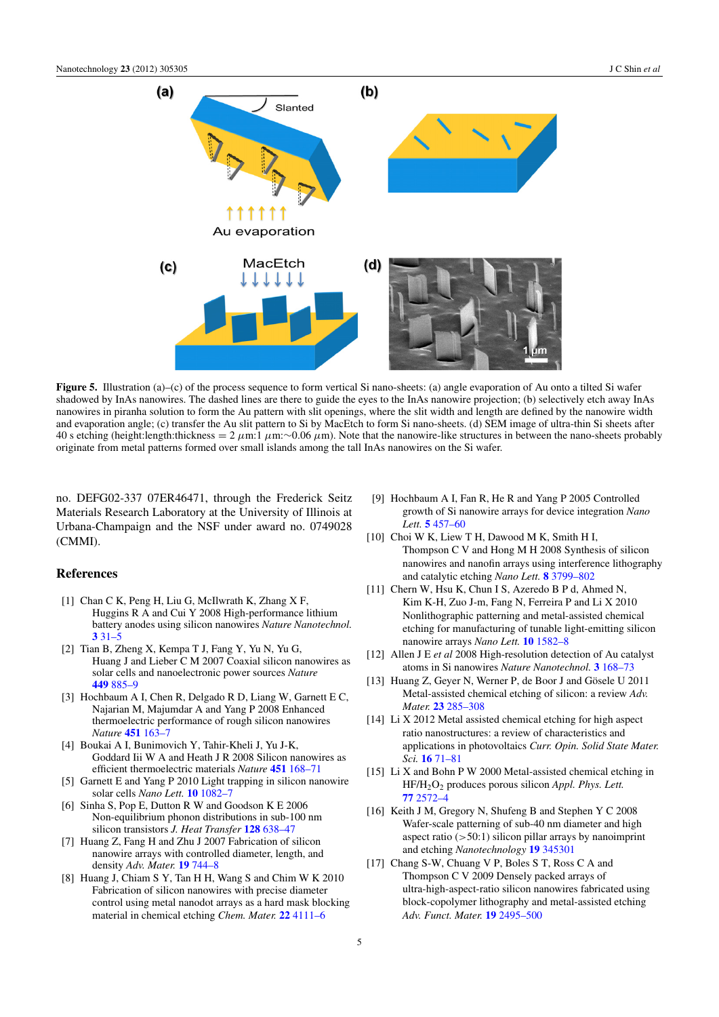<span id="page-5-16"></span>

Figure 5. Illustration (a)–(c) of the process sequence to form vertical Si nano-sheets: (a) angle evaporation of Au onto a tilted Si wafer shadowed by InAs nanowires. The dashed lines are there to guide the eyes to the InAs nanowire projection; (b) selectively etch away InAs nanowires in piranha solution to form the Au pattern with slit openings, where the slit width and length are defined by the nanowire width and evaporation angle; (c) transfer the Au slit pattern to Si by MacEtch to form Si nano-sheets. (d) SEM image of ultra-thin Si sheets after 40 s etching (height:length:thickness =  $2 \mu m$ :  $1 \mu m$ :∼0.06  $\mu m$ ). Note that the nanowire-like structures in between the nano-sheets probably originate from metal patterns formed over small islands among the tall InAs nanowires on the Si wafer.

no. DEFG02-337 07ER46471, through the Frederick Seitz Materials Research Laboratory at the University of Illinois at Urbana-Champaign and the NSF under award no. 0749028 (CMMI).

## References

- <span id="page-5-0"></span>[1] Chan C K, Peng H, Liu G, McIlwrath K, Zhang X F, Huggins R A and Cui Y 2008 High-performance lithium battery anodes using silicon nanowires *Nature Nanotechnol.*  $331-5$  $331-5$
- <span id="page-5-2"></span>[2] Tian B, Zheng X, Kempa T J, Fang Y, Yu N, Yu G, Huang J and Lieber C M 2007 Coaxial silicon nanowires as solar cells and nanoelectronic power sources *Nature* [449](http://dx.doi.org/10.1038/nature06181) [885–9](http://dx.doi.org/10.1038/nature06181)
- <span id="page-5-4"></span>[3] Hochbaum A I, Chen R, Delgado R D, Liang W, Garnett E C, Najarian M, Majumdar A and Yang P 2008 Enhanced thermoelectric performance of rough silicon nanowires *Nature* [451](http://dx.doi.org/10.1038/nature06381) [163–7](http://dx.doi.org/10.1038/nature06381)
- <span id="page-5-1"></span>[4] Boukai A I, Bunimovich Y, Tahir-Kheli J, Yu J-K, Goddard Iii W A and Heath J R 2008 Silicon nanowires as efficient thermoelectric materials *Nature* [451](http://dx.doi.org/10.1038/nature06458) [168–71](http://dx.doi.org/10.1038/nature06458)
- <span id="page-5-3"></span>[5] Garnett E and Yang P 2010 Light trapping in silicon nanowire solar cells *Nano Lett.* [10](http://dx.doi.org/10.1021/nl100161z) [1082–7](http://dx.doi.org/10.1021/nl100161z)
- <span id="page-5-5"></span>[6] Sinha S, Pop E, Dutton R W and Goodson K E 2006 Non-equilibrium phonon distributions in sub-100 nm silicon transistors *J. Heat Transfer* [128](http://dx.doi.org/10.1115/1.2194041) [638–47](http://dx.doi.org/10.1115/1.2194041)
- <span id="page-5-6"></span>[7] Huang Z, Fang H and Zhu J 2007 Fabrication of silicon nanowire arrays with controlled diameter, length, and density *Adv. Mater.* [19](http://dx.doi.org/10.1002/adma.200600892) [744–8](http://dx.doi.org/10.1002/adma.200600892)
- [8] Huang J, Chiam S Y, Tan H H, Wang S and Chim W K 2010 Fabrication of silicon nanowires with precise diameter control using metal nanodot arrays as a hard mask blocking material in chemical etching *Chem. Mater.* [22](http://dx.doi.org/10.1021/cm101121c) [4111–6](http://dx.doi.org/10.1021/cm101121c)
- <span id="page-5-8"></span>[9] Hochbaum A I, Fan R, He R and Yang P 2005 Controlled growth of Si nanowire arrays for device integration *Nano Lett.* [5](http://dx.doi.org/10.1021/nl047990x) [457–60](http://dx.doi.org/10.1021/nl047990x)
- <span id="page-5-9"></span>[10] Choi W K, Liew T H, Dawood M K, Smith H I, Thompson C V and Hong M H 2008 Synthesis of silicon nanowires and nanofin arrays using interference lithography and catalytic etching *Nano Lett.* [8](http://dx.doi.org/10.1021/nl802129f) [3799–802](http://dx.doi.org/10.1021/nl802129f)
- <span id="page-5-7"></span>[11] Chern W, Hsu K, Chun I S, Azeredo B P d, Ahmed N, Kim K-H, Zuo J-m, Fang N, Ferreira P and Li X 2010 Nonlithographic patterning and metal-assisted chemical etching for manufacturing of tunable light-emitting silicon nanowire arrays *Nano Lett.* [10](http://dx.doi.org/10.1021/nl903841a) [1582–8](http://dx.doi.org/10.1021/nl903841a)
- <span id="page-5-10"></span>[12] Allen J E *et al* 2008 High-resolution detection of Au catalyst atoms in Si nanowires *Nature Nanotechnol.* [3](http://dx.doi.org/10.1038/nnano.2008.5) [168–73](http://dx.doi.org/10.1038/nnano.2008.5)
- <span id="page-5-11"></span>[13] Huang Z, Geyer N, Werner P, de Boor J and Gösele U 2011 Metal-assisted chemical etching of silicon: a review *Adv. Mater.* [23](http://dx.doi.org/10.1002/adma.201001784) [285–308](http://dx.doi.org/10.1002/adma.201001784)
- <span id="page-5-13"></span>[14] Li X 2012 Metal assisted chemical etching for high aspect ratio nanostructures: a review of characteristics and applications in photovoltaics *Curr. Opin. Solid State Mater. Sci.* [16](http://dx.doi.org/10.1016/j.cossms.2011.11.002) [71–81](http://dx.doi.org/10.1016/j.cossms.2011.11.002)
- <span id="page-5-12"></span>[15] Li X and Bohn P W 2000 Metal-assisted chemical etching in HF/H2O<sup>2</sup> produces porous silicon *Appl. Phys. Lett.* [77](http://dx.doi.org/10.1088/0957-4484/19/34/345301) [2572–4](http://dx.doi.org/10.1088/0957-4484/19/34/345301)
- <span id="page-5-14"></span>[16] Keith J M, Gregory N, Shufeng B and Stephen Y C 2008 Wafer-scale patterning of sub-40 nm diameter and high aspect ratio  $(50:1)$  silicon pillar arrays by nanoimprint and etching *Nanotechnology* [19](http://dx.doi.org/10.1002/adfm.200900181) [345301](http://dx.doi.org/10.1002/adfm.200900181)
- <span id="page-5-15"></span>[17] Chang S-W, Chuang V P, Boles S T, Ross C A and Thompson C V 2009 Densely packed arrays of ultra-high-aspect-ratio silicon nanowires fabricated using block-copolymer lithography and metal-assisted etching *Adv. Funct. Mater.* [19](http://dx.doi.org/10.1063/1.2924311) [2495–500](http://dx.doi.org/10.1063/1.2924311)